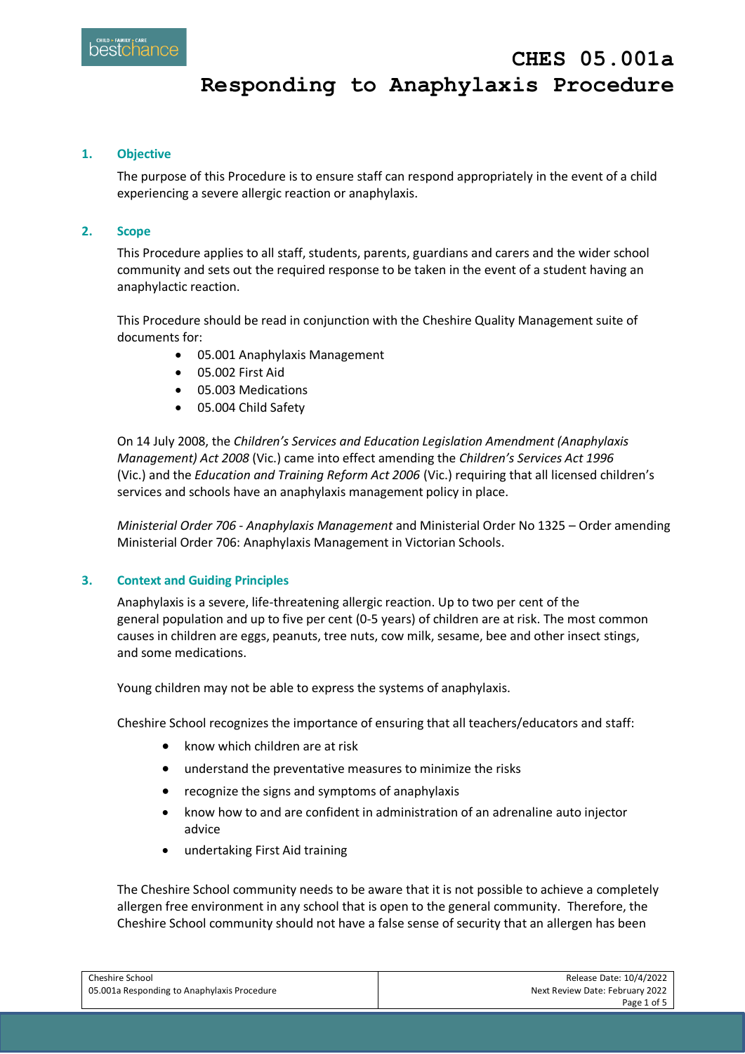# **Responding to Anaphylaxis Procedure**

#### **1. Objective**

The purpose of this Procedure is to ensure staff can respond appropriately in the event of a child experiencing a severe allergic reaction or anaphylaxis.

#### **2. Scope**

This Procedure applies to all staff, students, parents, guardians and carers and the wider school community and sets out the required response to be taken in the event of a student having an anaphylactic reaction.

This Procedure should be read in conjunction with the Cheshire Quality Management suite of documents for:

- 05.001 Anaphylaxis Management
- 05.002 First Aid
- 05.003 Medications
- 05.004 Child Safety

On 14 July 2008, the *Children's Services and Education Legislation Amendment (Anaphylaxis Management) Act 2008* (Vic.) came into effect amending the *Children's Services Act 1996* (Vic.) and the *Education and Training Reform Act 2006* (Vic.) requiring that all licensed children's services and schools have an anaphylaxis management policy in place.

*Ministerial Order 706 - Anaphylaxis Management* and Ministerial Order No 1325 – Order amending Ministerial Order 706: Anaphylaxis Management in Victorian Schools.

#### **3. Context and Guiding Principles**

Anaphylaxis is a severe, life-threatening allergic reaction. Up to two per cent of the general population and up to five per cent (0-5 years) of children are at risk. The most common causes in children are eggs, peanuts, tree nuts, cow milk, sesame, bee and other insect stings, and some medications.

Young children may not be able to express the systems of anaphylaxis.

Cheshire School recognizes the importance of ensuring that all teachers/educators and staff:

- know which children are at risk
- understand the preventative measures to minimize the risks
- recognize the signs and symptoms of anaphylaxis
- know how to and are confident in administration of an adrenaline auto injector advice
- undertaking First Aid training

The Cheshire School community needs to be aware that it is not possible to achieve a completely allergen free environment in any school that is open to the general community. Therefore, the Cheshire School community should not have a false sense of security that an allergen has been

| Cheshire School                             | Release Date: 10/4/2022         |
|---------------------------------------------|---------------------------------|
| 05.001a Responding to Anaphylaxis Procedure | Next Review Date: February 2022 |
|                                             | Page 1 of 5                     |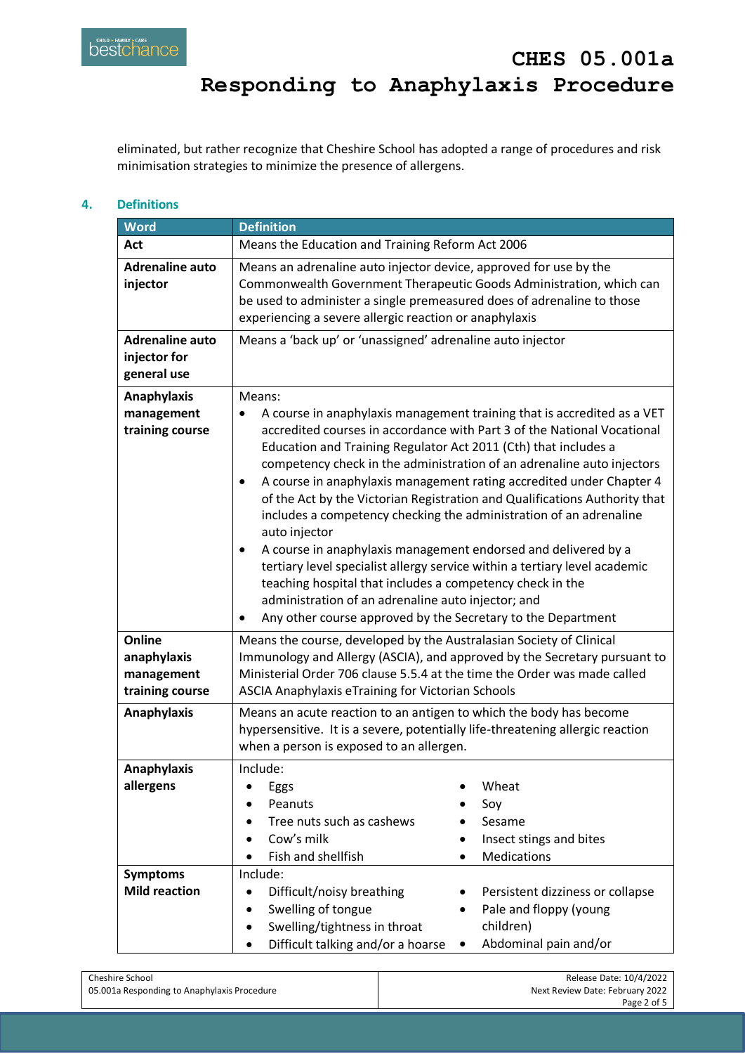eliminated, but rather recognize that Cheshire School has adopted a range of procedures and risk minimisation strategies to minimize the presence of allergens.

## **4. Definitions**

| <b>Word</b>                                            | <b>Definition</b>                                                                                                                                                                                                                                                                                                                                                                                                                                                                                                                                                                                                                                                                                                                                                                                                                                                                                                   |  |  |
|--------------------------------------------------------|---------------------------------------------------------------------------------------------------------------------------------------------------------------------------------------------------------------------------------------------------------------------------------------------------------------------------------------------------------------------------------------------------------------------------------------------------------------------------------------------------------------------------------------------------------------------------------------------------------------------------------------------------------------------------------------------------------------------------------------------------------------------------------------------------------------------------------------------------------------------------------------------------------------------|--|--|
| Act                                                    | Means the Education and Training Reform Act 2006                                                                                                                                                                                                                                                                                                                                                                                                                                                                                                                                                                                                                                                                                                                                                                                                                                                                    |  |  |
| <b>Adrenaline auto</b><br>injector                     | Means an adrenaline auto injector device, approved for use by the<br>Commonwealth Government Therapeutic Goods Administration, which can<br>be used to administer a single premeasured does of adrenaline to those<br>experiencing a severe allergic reaction or anaphylaxis                                                                                                                                                                                                                                                                                                                                                                                                                                                                                                                                                                                                                                        |  |  |
| <b>Adrenaline auto</b><br>injector for<br>general use  | Means a 'back up' or 'unassigned' adrenaline auto injector                                                                                                                                                                                                                                                                                                                                                                                                                                                                                                                                                                                                                                                                                                                                                                                                                                                          |  |  |
| Anaphylaxis<br>management<br>training course           | Means:<br>A course in anaphylaxis management training that is accredited as a VET<br>$\bullet$<br>accredited courses in accordance with Part 3 of the National Vocational<br>Education and Training Regulator Act 2011 (Cth) that includes a<br>competency check in the administration of an adrenaline auto injectors<br>A course in anaphylaxis management rating accredited under Chapter 4<br>$\bullet$<br>of the Act by the Victorian Registration and Qualifications Authority that<br>includes a competency checking the administration of an adrenaline<br>auto injector<br>A course in anaphylaxis management endorsed and delivered by a<br>tertiary level specialist allergy service within a tertiary level academic<br>teaching hospital that includes a competency check in the<br>administration of an adrenaline auto injector; and<br>Any other course approved by the Secretary to the Department |  |  |
| Online<br>anaphylaxis<br>management<br>training course | Means the course, developed by the Australasian Society of Clinical<br>Immunology and Allergy (ASCIA), and approved by the Secretary pursuant to<br>Ministerial Order 706 clause 5.5.4 at the time the Order was made called<br>ASCIA Anaphylaxis eTraining for Victorian Schools                                                                                                                                                                                                                                                                                                                                                                                                                                                                                                                                                                                                                                   |  |  |
| <b>Anaphylaxis</b>                                     | Means an acute reaction to an antigen to which the body has become<br>hypersensitive. It is a severe, potentially life-threatening allergic reaction<br>when a person is exposed to an allergen.                                                                                                                                                                                                                                                                                                                                                                                                                                                                                                                                                                                                                                                                                                                    |  |  |
| <b>Anaphylaxis</b><br>allergens                        | Include:<br>Wheat<br>Eggs<br>Peanuts<br>Soy<br>Tree nuts such as cashews<br>Sesame<br>Cow's milk<br>Insect stings and bites<br>Fish and shellfish<br><b>Medications</b>                                                                                                                                                                                                                                                                                                                                                                                                                                                                                                                                                                                                                                                                                                                                             |  |  |
| <b>Symptoms</b><br><b>Mild reaction</b>                | Include:<br>Difficult/noisy breathing<br>Persistent dizziness or collapse<br>$\bullet$<br>Swelling of tongue<br>Pale and floppy (young<br>٠<br>Swelling/tightness in throat<br>children)<br>Difficult talking and/or a hoarse<br>Abdominal pain and/or<br>٠                                                                                                                                                                                                                                                                                                                                                                                                                                                                                                                                                                                                                                                         |  |  |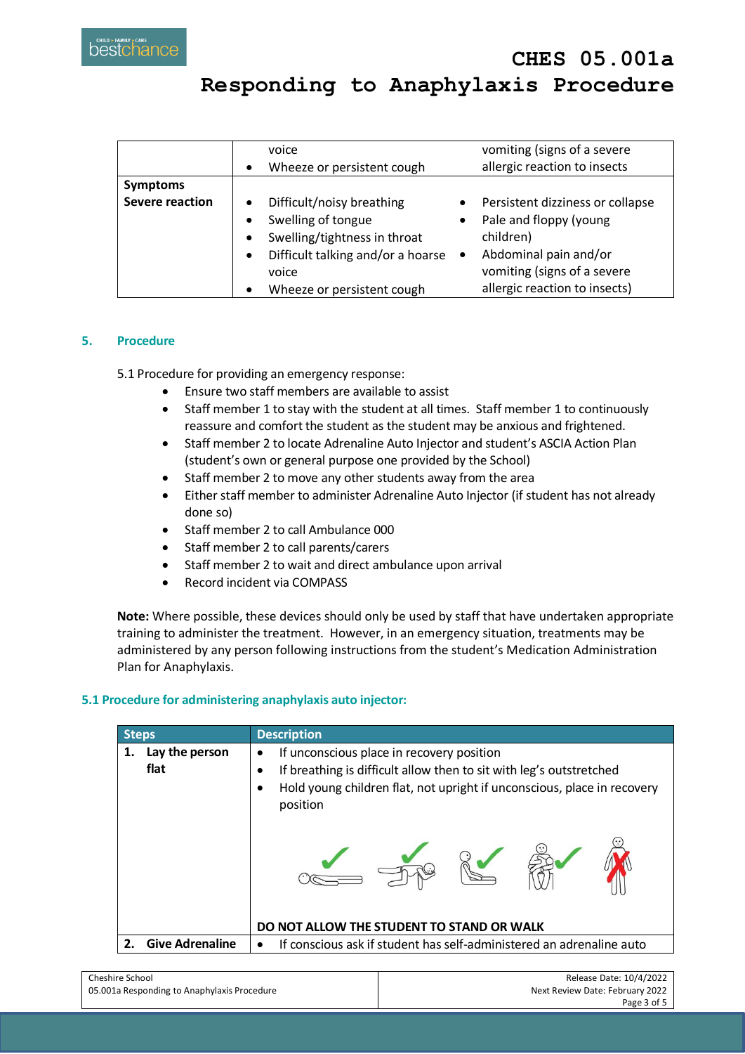|                                           | voice<br>Wheeze or persistent cough<br>$\bullet$                                                                                                                       | vomiting (signs of a severe<br>allergic reaction to insects                                                                                  |
|-------------------------------------------|------------------------------------------------------------------------------------------------------------------------------------------------------------------------|----------------------------------------------------------------------------------------------------------------------------------------------|
| <b>Symptoms</b><br><b>Severe reaction</b> | Difficult/noisy breathing<br>Swelling of tongue<br>$\bullet$<br>Swelling/tightness in throat<br>$\bullet$<br>Difficult talking and/or a hoarse •<br>$\bullet$<br>voice | Persistent dizziness or collapse<br>Pale and floppy (young<br>$\bullet$<br>children)<br>Abdominal pain and/or<br>vomiting (signs of a severe |
|                                           | Wheeze or persistent cough                                                                                                                                             | allergic reaction to insects)                                                                                                                |

#### **5. Procedure**

5.1 Procedure for providing an emergency response:

- Ensure two staff members are available to assist
- Staff member 1 to stay with the student at all times. Staff member 1 to continuously reassure and comfort the student as the student may be anxious and frightened.
- Staff member 2 to locate Adrenaline Auto Injector and student's ASCIA Action Plan (student's own or general purpose one provided by the School)
- Staff member 2 to move any other students away from the area
- Either staff member to administer Adrenaline Auto Injector (if student has not already done so)
- Staff member 2 to call Ambulance 000
- Staff member 2 to call parents/carers
- Staff member 2 to wait and direct ambulance upon arrival
- Record incident via COMPASS

**Note:** Where possible, these devices should only be used by staff that have undertaken appropriate training to administer the treatment. However, in an emergency situation, treatments may be administered by any person following instructions from the student's Medication Administration Plan for Anaphylaxis.

#### **5.1 Procedure for administering anaphylaxis auto injector:**

| <b>Steps</b>                 | <b>Description</b>                                                                                                                                                                                                     |
|------------------------------|------------------------------------------------------------------------------------------------------------------------------------------------------------------------------------------------------------------------|
| Lay the person<br>flat       | If unconscious place in recovery position<br>٠<br>If breathing is difficult allow then to sit with leg's outstretched<br>٠<br>Hold young children flat, not upright if unconscious, place in recovery<br>٠<br>position |
|                              | DO NOT ALLOW THE STUDENT TO STAND OR WALK                                                                                                                                                                              |
| <b>Give Adrenaline</b><br>2. | If conscious ask if student has self-administered an adrenaline auto<br>٠                                                                                                                                              |

| Cheshire School                             | Release Date: 10/4/2022         |
|---------------------------------------------|---------------------------------|
| 05.001a Responding to Anaphylaxis Procedure | Next Review Date: February 2022 |
|                                             | Page 3 of 5                     |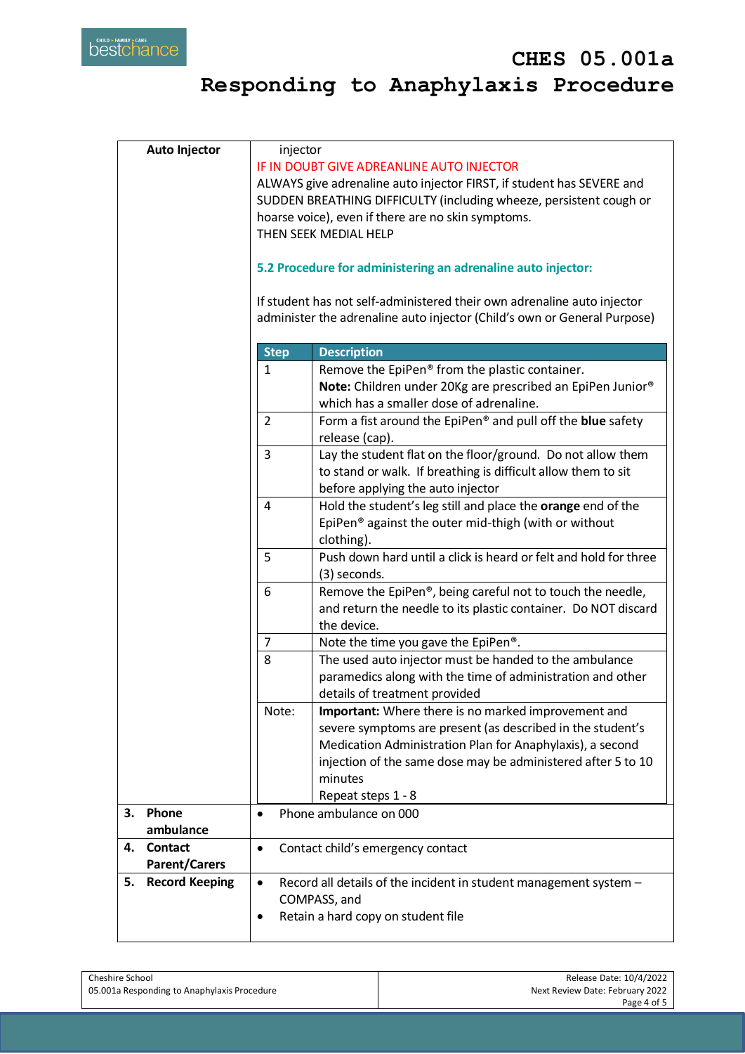| <b>Auto Injector</b>        |                | injector                                                                 |  |  |
|-----------------------------|----------------|--------------------------------------------------------------------------|--|--|
|                             |                | IF IN DOUBT GIVE ADREANLINE AUTO INJECTOR                                |  |  |
|                             |                | ALWAYS give adrenaline auto injector FIRST, if student has SEVERE and    |  |  |
|                             |                | SUDDEN BREATHING DIFFICULTY (including wheeze, persistent cough or       |  |  |
|                             |                | hoarse voice), even if there are no skin symptoms.                       |  |  |
|                             |                | THEN SEEK MEDIAL HELP                                                    |  |  |
|                             |                |                                                                          |  |  |
|                             |                |                                                                          |  |  |
|                             |                | 5.2 Procedure for administering an adrenaline auto injector:             |  |  |
|                             |                |                                                                          |  |  |
|                             |                | If student has not self-administered their own adrenaline auto injector  |  |  |
|                             |                | administer the adrenaline auto injector (Child's own or General Purpose) |  |  |
|                             |                |                                                                          |  |  |
|                             | <b>Step</b>    | <b>Description</b>                                                       |  |  |
|                             | 1              | Remove the EpiPen® from the plastic container.                           |  |  |
|                             |                | Note: Children under 20Kg are prescribed an EpiPen Junior®               |  |  |
|                             |                | which has a smaller dose of adrenaline.                                  |  |  |
|                             | $\overline{2}$ | Form a fist around the EpiPen® and pull off the blue safety              |  |  |
|                             |                |                                                                          |  |  |
|                             |                | release (cap).                                                           |  |  |
|                             | 3              | Lay the student flat on the floor/ground. Do not allow them              |  |  |
|                             |                | to stand or walk. If breathing is difficult allow them to sit            |  |  |
|                             |                | before applying the auto injector                                        |  |  |
|                             | 4              | Hold the student's leg still and place the orange end of the             |  |  |
|                             |                | EpiPen <sup>®</sup> against the outer mid-thigh (with or without         |  |  |
|                             |                | clothing).                                                               |  |  |
|                             | 5              | Push down hard until a click is heard or felt and hold for three         |  |  |
|                             |                | (3) seconds.                                                             |  |  |
|                             |                |                                                                          |  |  |
|                             | 6              | Remove the EpiPen®, being careful not to touch the needle,               |  |  |
|                             |                | and return the needle to its plastic container. Do NOT discard           |  |  |
|                             |                | the device.                                                              |  |  |
|                             | $\overline{7}$ | Note the time you gave the EpiPen®.                                      |  |  |
|                             | 8              | The used auto injector must be handed to the ambulance                   |  |  |
|                             |                | paramedics along with the time of administration and other               |  |  |
|                             |                | details of treatment provided                                            |  |  |
|                             | Note:          | Important: Where there is no marked improvement and                      |  |  |
|                             |                | severe symptoms are present (as described in the student's               |  |  |
|                             |                | Medication Administration Plan for Anaphylaxis), a second                |  |  |
|                             |                |                                                                          |  |  |
|                             |                | injection of the same dose may be administered after 5 to 10             |  |  |
|                             |                | minutes                                                                  |  |  |
|                             |                | Repeat steps 1 - 8                                                       |  |  |
| Phone<br>3.                 | $\bullet$      | Phone ambulance on 000                                                   |  |  |
| ambulance                   |                |                                                                          |  |  |
| <b>Contact</b><br>4.        |                | Contact child's emergency contact                                        |  |  |
| <b>Parent/Carers</b>        |                |                                                                          |  |  |
| <b>Record Keeping</b><br>5. | $\bullet$      | Record all details of the incident in student management system -        |  |  |
|                             |                |                                                                          |  |  |
|                             |                | COMPASS, and                                                             |  |  |
|                             |                | Retain a hard copy on student file                                       |  |  |
|                             |                |                                                                          |  |  |